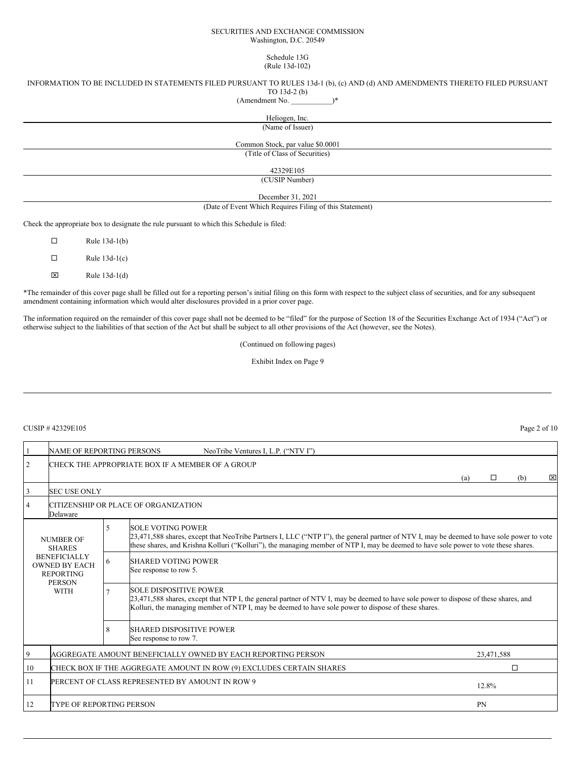#### SECURITIES AND EXCHANGE COMMISSION Washington, D.C. 20549

#### Schedule 13G (Rule 13d-102)

## INFORMATION TO BE INCLUDED IN STATEMENTS FILED PURSUANT TO RULES 13d-1 (b), (c) AND (d) AND AMENDMENTS THERETO FILED PURSUANT TO 13d-2 (b)

(Amendment No. \_\_\_\_\_\_\_\_\_\_\_)\*

## Heliogen, Inc.

(Name of Issuer)

Common Stock, par value \$0.0001 (Title of Class of Securities)

42329E105

(CUSIP Number)

December 31, 2021

(Date of Event Which Requires Filing of this Statement)

Check the appropriate box to designate the rule pursuant to which this Schedule is filed:

| П | Rule $13d-1(b)$ |
|---|-----------------|
| П | Rule $13d-1(c)$ |
| ⊠ | Rule $13d-1(d)$ |

\*The remainder of this cover page shall be filled out for a reporting person's initial filing on this form with respect to the subject class of securities, and for any subsequent amendment containing information which would alter disclosures provided in a prior cover page.

The information required on the remainder of this cover page shall not be deemed to be "filed" for the purpose of Section 18 of the Securities Exchange Act of 1934 ("Act") or otherwise subject to the liabilities of that section of the Act but shall be subject to all other provisions of the Act (however, see the Notes).

(Continued on following pages)

Exhibit Index on Page 9

## $CUSIP # 42329E105$  Page 2 of 10

|                                                                                                                                      | NAME OF REPORTING PERSONS                                                  |                          | NeoTribe Ventures I, L.P. ("NTV I")                                                                                                                                                                                                                                                                          |     |   |     |   |
|--------------------------------------------------------------------------------------------------------------------------------------|----------------------------------------------------------------------------|--------------------------|--------------------------------------------------------------------------------------------------------------------------------------------------------------------------------------------------------------------------------------------------------------------------------------------------------------|-----|---|-----|---|
| 2                                                                                                                                    | CHECK THE APPROPRIATE BOX IF A MEMBER OF A GROUP                           |                          |                                                                                                                                                                                                                                                                                                              |     |   |     |   |
|                                                                                                                                      |                                                                            |                          |                                                                                                                                                                                                                                                                                                              | (a) | П | (b) | × |
| 3                                                                                                                                    | <b>SEC USE ONLY</b>                                                        |                          |                                                                                                                                                                                                                                                                                                              |     |   |     |   |
| 4                                                                                                                                    | Delaware                                                                   |                          | CITIZENSHIP OR PLACE OF ORGANIZATION                                                                                                                                                                                                                                                                         |     |   |     |   |
| <b>NUMBER OF</b><br><b>SHARES</b><br><b>BENEFICIALLY</b><br><b>OWNED BY EACH</b><br><b>REPORTING</b><br><b>PERSON</b><br><b>WITH</b> |                                                                            | $\overline{\phantom{0}}$ | <b>SOLE VOTING POWER</b><br>23,471,588 shares, except that NeoTribe Partners I, LLC ("NTP I"), the general partner of NTV I, may be deemed to have sole power to vote<br>these shares, and Krishna Kolluri ("Kolluri"), the managing member of NTP I, may be deemed to have sole power to vote these shares. |     |   |     |   |
|                                                                                                                                      |                                                                            | 6                        | <b>SHARED VOTING POWER</b><br>See response to row 5.                                                                                                                                                                                                                                                         |     |   |     |   |
|                                                                                                                                      |                                                                            |                          | <b>SOLE DISPOSITIVE POWER</b><br>23,471,588 shares, except that NTP I, the general partner of NTV I, may be deemed to have sole power to dispose of these shares, and<br>Kolluri, the managing member of NTP I, may be deemed to have sole power to dispose of these shares.                                 |     |   |     |   |
|                                                                                                                                      |                                                                            | 8                        | <b>SHARED DISPOSITIVE POWER</b><br>See response to row 7.                                                                                                                                                                                                                                                    |     |   |     |   |
| 9                                                                                                                                    | AGGREGATE AMOUNT BENEFICIALLY OWNED BY EACH REPORTING PERSON<br>23,471,588 |                          |                                                                                                                                                                                                                                                                                                              |     |   |     |   |
| 10                                                                                                                                   | CHECK BOX IF THE AGGREGATE AMOUNT IN ROW (9) EXCLUDES CERTAIN SHARES<br>П  |                          |                                                                                                                                                                                                                                                                                                              |     |   |     |   |
| 11                                                                                                                                   | PERCENT OF CLASS REPRESENTED BY AMOUNT IN ROW 9<br>12.8%                   |                          |                                                                                                                                                                                                                                                                                                              |     |   |     |   |
| 12                                                                                                                                   | <b>TYPE OF REPORTING PERSON</b><br><b>PN</b>                               |                          |                                                                                                                                                                                                                                                                                                              |     |   |     |   |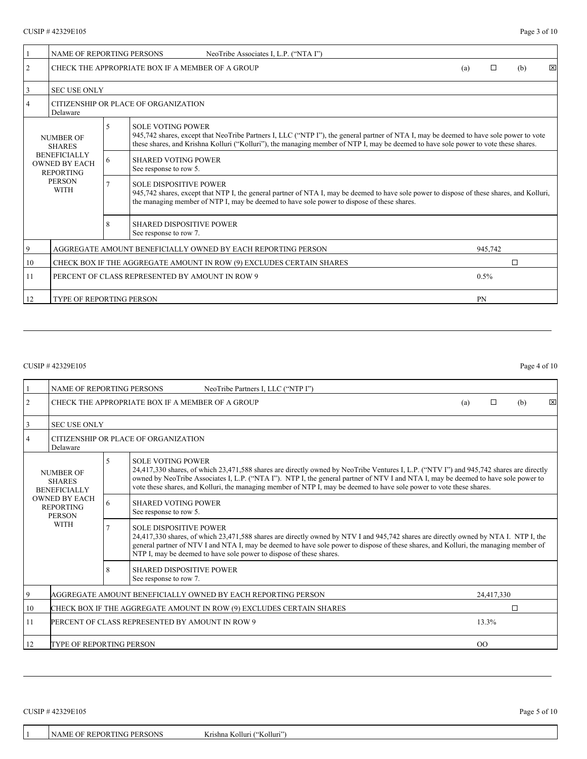|                              | <b>NAME OF REPORTING PERSONS</b>                                          |                                                                                                                                                                                                                                                                           | NeoTribe Associates I, L.P. ("NTA I")                                                                                                                                                                                                                                                                     |  |  |     |   |
|------------------------------|---------------------------------------------------------------------------|---------------------------------------------------------------------------------------------------------------------------------------------------------------------------------------------------------------------------------------------------------------------------|-----------------------------------------------------------------------------------------------------------------------------------------------------------------------------------------------------------------------------------------------------------------------------------------------------------|--|--|-----|---|
| 2                            | CHECK THE APPROPRIATE BOX IF A MEMBER OF A GROUP                          |                                                                                                                                                                                                                                                                           |                                                                                                                                                                                                                                                                                                           |  |  | (b) | ⊠ |
| 3                            | <b>SEC USE ONLY</b>                                                       |                                                                                                                                                                                                                                                                           |                                                                                                                                                                                                                                                                                                           |  |  |     |   |
| 4                            | Delaware                                                                  |                                                                                                                                                                                                                                                                           | CITIZENSHIP OR PLACE OF ORGANIZATION                                                                                                                                                                                                                                                                      |  |  |     |   |
| NUMBER OF<br><b>SHARES</b>   |                                                                           | 5                                                                                                                                                                                                                                                                         | <b>SOLE VOTING POWER</b><br>945,742 shares, except that NeoTribe Partners I, LLC ("NTP I"), the general partner of NTA I, may be deemed to have sole power to vote<br>these shares, and Krishna Kolluri ("Kolluri"), the managing member of NTP I, may be deemed to have sole power to vote these shares. |  |  |     |   |
|                              | <b>BENEFICIALLY</b><br><b>OWNED BY EACH</b><br><b>REPORTING</b>           | 6                                                                                                                                                                                                                                                                         | <b>SHARED VOTING POWER</b><br>See response to row 5.                                                                                                                                                                                                                                                      |  |  |     |   |
| <b>PERSON</b><br><b>WITH</b> | $\overline{7}$                                                            | <b>SOLE DISPOSITIVE POWER</b><br>945,742 shares, except that NTP I, the general partner of NTA I, may be deemed to have sole power to dispose of these shares, and Kolluri,<br>the managing member of NTP I, may be deemed to have sole power to dispose of these shares. |                                                                                                                                                                                                                                                                                                           |  |  |     |   |
|                              |                                                                           | 8                                                                                                                                                                                                                                                                         | <b>SHARED DISPOSITIVE POWER</b><br>See response to row 7.                                                                                                                                                                                                                                                 |  |  |     |   |
| $\overline{9}$               | AGGREGATE AMOUNT BENEFICIALLY OWNED BY EACH REPORTING PERSON<br>945,742   |                                                                                                                                                                                                                                                                           |                                                                                                                                                                                                                                                                                                           |  |  |     |   |
| 10                           | П<br>CHECK BOX IF THE AGGREGATE AMOUNT IN ROW (9) EXCLUDES CERTAIN SHARES |                                                                                                                                                                                                                                                                           |                                                                                                                                                                                                                                                                                                           |  |  |     |   |
| 11                           | PERCENT OF CLASS REPRESENTED BY AMOUNT IN ROW 9<br>$0.5\%$                |                                                                                                                                                                                                                                                                           |                                                                                                                                                                                                                                                                                                           |  |  |     |   |
| 12                           | <b>TYPE OF REPORTING PERSON</b><br>PN                                     |                                                                                                                                                                                                                                                                           |                                                                                                                                                                                                                                                                                                           |  |  |     |   |

## $CUSIP$  # 42329E105 Page 4 of 10

|                                                                                                                               | <b>NAME OF REPORTING PERSONS</b>                                           |                                                           | NeoTribe Partners I, LLC ("NTP I")                                                                                                                                                                                                                                                                                                                                                                                                |  |   |     |              |  |
|-------------------------------------------------------------------------------------------------------------------------------|----------------------------------------------------------------------------|-----------------------------------------------------------|-----------------------------------------------------------------------------------------------------------------------------------------------------------------------------------------------------------------------------------------------------------------------------------------------------------------------------------------------------------------------------------------------------------------------------------|--|---|-----|--------------|--|
| 2                                                                                                                             | CHECK THE APPROPRIATE BOX IF A MEMBER OF A GROUP                           |                                                           |                                                                                                                                                                                                                                                                                                                                                                                                                                   |  | □ | (b) | $\mathbf{x}$ |  |
|                                                                                                                               | <b>SEC USE ONLY</b>                                                        |                                                           |                                                                                                                                                                                                                                                                                                                                                                                                                                   |  |   |     |              |  |
|                                                                                                                               | Delaware                                                                   |                                                           | CITIZENSHIP OR PLACE OF ORGANIZATION                                                                                                                                                                                                                                                                                                                                                                                              |  |   |     |              |  |
| NUMBER OF<br><b>SHARES</b><br><b>BENEFICIALLY</b><br><b>OWNED BY EACH</b><br><b>REPORTING</b><br><b>PERSON</b><br><b>WITH</b> |                                                                            | 5                                                         | <b>SOLE VOTING POWER</b><br>24,417,330 shares, of which 23,471,588 shares are directly owned by NeoTribe Ventures I, L.P. ("NTV I") and 945,742 shares are directly<br>owned by NeoTribe Associates I, L.P. ("NTA I"). NTP I, the general partner of NTV I and NTA I, may be deemed to have sole power to<br>vote these shares, and Kolluri, the managing member of NTP I, may be deemed to have sole power to vote these shares. |  |   |     |              |  |
|                                                                                                                               |                                                                            | <b>SHARED VOTING POWER</b><br>6<br>See response to row 5. |                                                                                                                                                                                                                                                                                                                                                                                                                                   |  |   |     |              |  |
|                                                                                                                               |                                                                            |                                                           | <b>SOLE DISPOSITIVE POWER</b><br>24,417,330 shares, of which 23,471,588 shares are directly owned by NTV I and 945,742 shares are directly owned by NTA I. NTP I, the<br>general partner of NTV I and NTA I, may be deemed to have sole power to dispose of these shares, and Kolluri, the managing member of<br>NTP I, may be deemed to have sole power to dispose of these shares.                                              |  |   |     |              |  |
|                                                                                                                               |                                                                            | 8                                                         | <b>SHARED DISPOSITIVE POWER</b><br>See response to row 7.                                                                                                                                                                                                                                                                                                                                                                         |  |   |     |              |  |
| 9                                                                                                                             | AGGREGATE AMOUNT BENEFICIALLY OWNED BY EACH REPORTING PERSON<br>24,417,330 |                                                           |                                                                                                                                                                                                                                                                                                                                                                                                                                   |  |   |     |              |  |
| 10                                                                                                                            | П<br>CHECK BOX IF THE AGGREGATE AMOUNT IN ROW (9) EXCLUDES CERTAIN SHARES  |                                                           |                                                                                                                                                                                                                                                                                                                                                                                                                                   |  |   |     |              |  |
| 11                                                                                                                            | 13.3%<br><b>PERCENT OF CLASS REPRESENTED BY AMOUNT IN ROW 9</b>            |                                                           |                                                                                                                                                                                                                                                                                                                                                                                                                                   |  |   |     |              |  |
| 12                                                                                                                            | <b>TYPE OF REPORTING PERSON</b><br>$_{\rm OO}$                             |                                                           |                                                                                                                                                                                                                                                                                                                                                                                                                                   |  |   |     |              |  |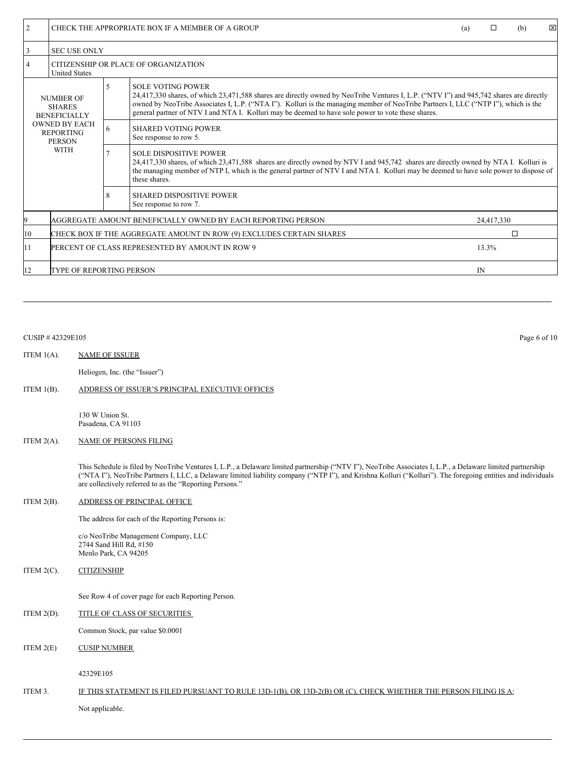| $\overline{2}$                                                           | CHECK THE APPROPRIATE BOX IF A MEMBER OF A GROUP                           |                                                                                                                                                                                                                                                                                                                                 |                                                                                                                                                                                                                                                                                                                                                                                                                 | (a) | п | (b) | ⊠ |
|--------------------------------------------------------------------------|----------------------------------------------------------------------------|---------------------------------------------------------------------------------------------------------------------------------------------------------------------------------------------------------------------------------------------------------------------------------------------------------------------------------|-----------------------------------------------------------------------------------------------------------------------------------------------------------------------------------------------------------------------------------------------------------------------------------------------------------------------------------------------------------------------------------------------------------------|-----|---|-----|---|
| 3                                                                        | <b>SEC USE ONLY</b>                                                        |                                                                                                                                                                                                                                                                                                                                 |                                                                                                                                                                                                                                                                                                                                                                                                                 |     |   |     |   |
| 4                                                                        | CITIZENSHIP OR PLACE OF ORGANIZATION<br><b>United States</b>               |                                                                                                                                                                                                                                                                                                                                 |                                                                                                                                                                                                                                                                                                                                                                                                                 |     |   |     |   |
| <b>NUMBER OF</b><br><b>SHARES</b><br><b>BENEFICIALLY</b>                 |                                                                            | 5                                                                                                                                                                                                                                                                                                                               | <b>SOLE VOTING POWER</b><br>24,417,330 shares, of which 23,471,588 shares are directly owned by NeoTribe Ventures I, L.P. ("NTV I") and 945,742 shares are directly<br>owned by NeoTribe Associates I, L.P. ("NTA I"). Kolluri is the managing member of NeoTribe Partners I, LLC ("NTP I"), which is the<br>general partner of NTV I and NTA I. Kolluri may be deemed to have sole power to vote these shares. |     |   |     |   |
| <b>OWNED BY EACH</b><br><b>REPORTING</b><br><b>PERSON</b><br><b>WITH</b> |                                                                            | 6                                                                                                                                                                                                                                                                                                                               | <b>SHARED VOTING POWER</b><br>See response to row 5.                                                                                                                                                                                                                                                                                                                                                            |     |   |     |   |
|                                                                          |                                                                            | <b>SOLE DISPOSITIVE POWER</b><br>24,417,330 shares, of which 23,471,588 shares are directly owned by NTV I and 945,742 shares are directly owned by NTA I. Kolluri is<br>the managing member of NTP I, which is the general partner of NTV I and NTA I. Kolluri may be deemed to have sole power to dispose of<br>these shares. |                                                                                                                                                                                                                                                                                                                                                                                                                 |     |   |     |   |
|                                                                          |                                                                            | 8                                                                                                                                                                                                                                                                                                                               | <b>SHARED DISPOSITIVE POWER</b><br>See response to row 7.                                                                                                                                                                                                                                                                                                                                                       |     |   |     |   |
|                                                                          | AGGREGATE AMOUNT BENEFICIALLY OWNED BY EACH REPORTING PERSON<br>24,417,330 |                                                                                                                                                                                                                                                                                                                                 |                                                                                                                                                                                                                                                                                                                                                                                                                 |     |   |     |   |
| 10                                                                       | CHECK BOX IF THE AGGREGATE AMOUNT IN ROW (9) EXCLUDES CERTAIN SHARES       |                                                                                                                                                                                                                                                                                                                                 | п                                                                                                                                                                                                                                                                                                                                                                                                               |     |   |     |   |
| 11                                                                       | PERCENT OF CLASS REPRESENTED BY AMOUNT IN ROW 9<br>13.3%                   |                                                                                                                                                                                                                                                                                                                                 |                                                                                                                                                                                                                                                                                                                                                                                                                 |     |   |     |   |
| 12                                                                       | TYPE OF REPORTING PERSON<br>IN                                             |                                                                                                                                                                                                                                                                                                                                 |                                                                                                                                                                                                                                                                                                                                                                                                                 |     |   |     |   |

# CUSIP # 42329E105 Page 6 of 10

#### ITEM 1(A). NAME OF ISSUER

Heliogen, Inc. (the "Issuer")

## ITEM 1(B). ADDRESS OF ISSUER'S PRINCIPAL EXECUTIVE OFFICES

130 W Union St. Pasadena, CA 91103

## ITEM 2(A). NAME OF PERSONS FILING

This Schedule is filed by NeoTribe Ventures I, L.P., a Delaware limited partnership ("NTV I"), NeoTribe Associates I, L.P., a Delaware limited partnership ("NTA I"), NeoTribe Partners I, LLC, a Delaware limited liability company ("NTP I"), and Krishna Kolluri ("Kolluri"). The foregoing entities and individuals are collectively referred to as the "Reporting Persons."

## ITEM 2(B). ADDRESS OF PRINCIPAL OFFICE

The address for each of the Reporting Persons is:

c/o NeoTribe Management Company, LLC 2744 Sand Hill Rd, #150 Menlo Park, CA 94205

ITEM 2(C). CITIZENSHIP

See Row 4 of cover page for each Reporting Person.

ITEM 2(D). TITLE OF CLASS OF SECURITIES

Common Stock, par value \$0.0001

ITEM 2(E) CUSIP NUMBER

42329E105

# ITEM 3. IF THIS STATEMENT IS FILED PURSUANT TO RULE 13D-1(B), OR 13D-2(B) OR (C), CHECK WHETHER THE PERSON FILING IS A: Not applicable.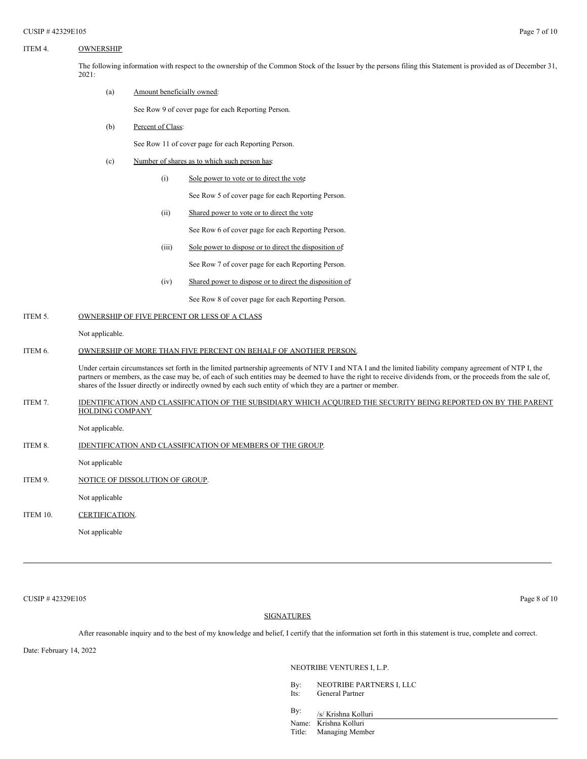# ITEM 4. OWNERSHIP

The following information with respect to the ownership of the Common Stock of the Issuer by the persons filing this Statement is provided as of December 31, 2021:

#### (a) Amount beneficially owned:

See Row 9 of cover page for each Reporting Person.

(b) Percent of Class:

See Row 11 of cover page for each Reporting Person.

- (c) Number of shares as to which such person has:
	- (i) Sole power to vote or to direct the vote

See Row 5 of cover page for each Reporting Person.

(ii) Shared power to vote or to direct the vote

See Row 6 of cover page for each Reporting Person.

(iii) Sole power to dispose or to direct the disposition of

See Row 7 of cover page for each Reporting Person.

(iv) Shared power to dispose or to direct the disposition of:

See Row 8 of cover page for each Reporting Person.

# ITEM 5. OWNERSHIP OF FIVE PERCENT OR LESS OF A CLASS

Not applicable.

#### ITEM 6. OWNERSHIP OF MORE THAN FIVE PERCENT ON BEHALF OF ANOTHER PERSON.

Under certain circumstances set forth in the limited partnership agreements of NTV I and NTA I and the limited liability company agreement of NTP I, the partners or members, as the case may be, of each of such entities may be deemed to have the right to receive dividends from, or the proceeds from the sale of, shares of the Issuer directly or indirectly owned by each such entity of which they are a partner or member.

ITEM 7. IDENTIFICATION AND CLASSIFICATION OF THE SUBSIDIARY WHICH ACQUIRED THE SECURITY BEING REPORTED ON BY THE PARENT HOLDING COMPANY

Not applicable.

ITEM 8. **IDENTIFICATION AND CLASSIFICATION OF MEMBERS OF THE GROUP.** 

Not applicable

ITEM 9. NOTICE OF DISSOLUTION OF GROUP.

Not applicable

ITEM 10. CERTIFICATION.

Not applicable

 $\text{CUSIP } \# \, 42329 \text{E105}$  Page 8 of 10

## SIGNATURES

After reasonable inquiry and to the best of my knowledge and belief, I certify that the information set forth in this statement is true, complete and correct.

Date: February 14, 2022

NEOTRIBE VENTURES I, L.P.

- By: NEOTRIBE PARTNERS I, LLC Its: General Partner
- By:
- /s/ Krishna Kolluri Name: Krishna Kolluri
- Title: Managing Member